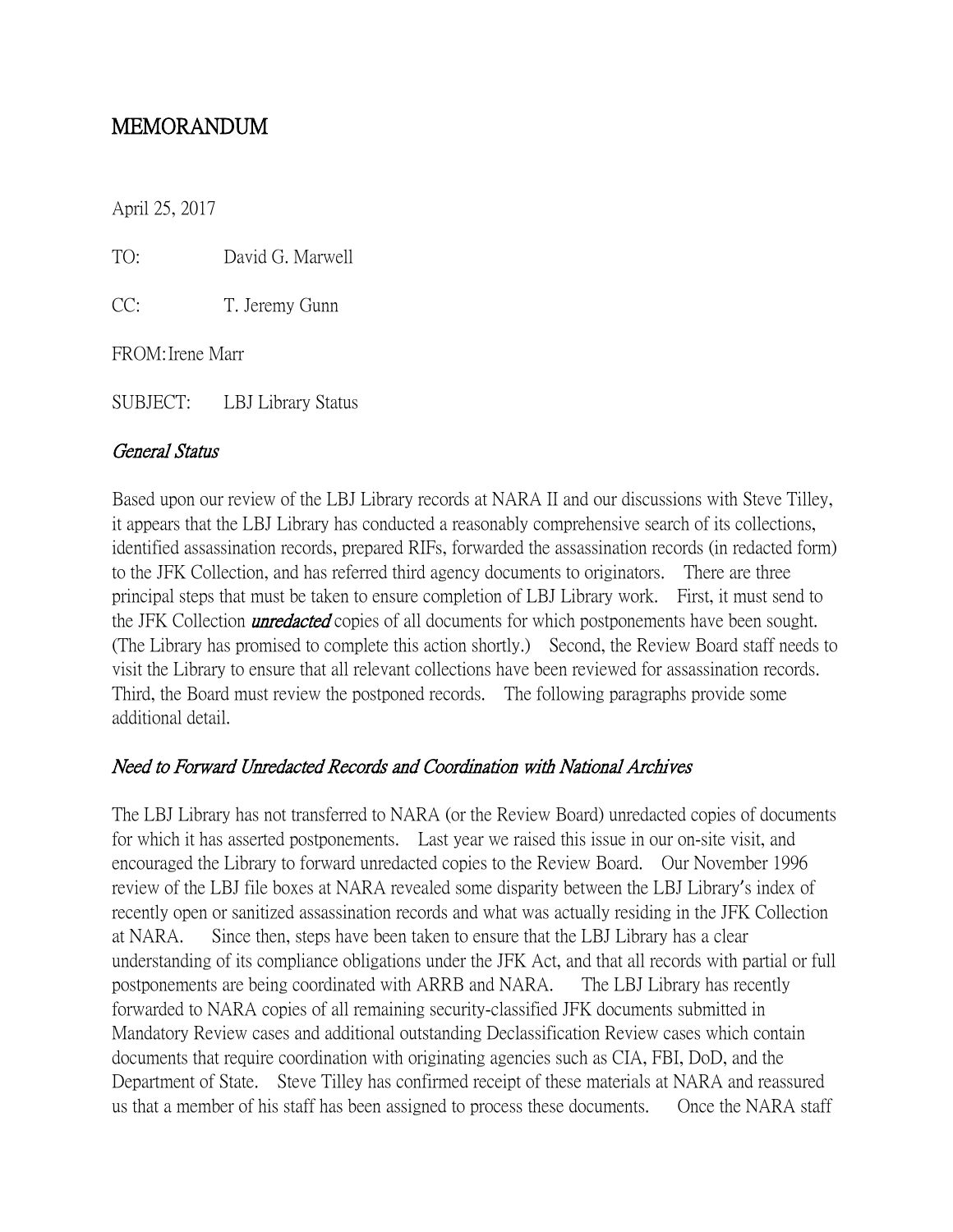# MEMORANDUM

April 25, 2017

TO: David G. Marwell

CC: T. Jeremy Gunn

FROM:Irene Marr

SUBJECT: LBJ Library Status

#### General Status

Based upon our review of the LBJ Library records at NARA II and our discussions with Steve Tilley, it appears that the LBJ Library has conducted a reasonably comprehensive search of its collections, identified assassination records, prepared RIFs, forwarded the assassination records (in redacted form) to the JFK Collection, and has referred third agency documents to originators. There are three principal steps that must be taken to ensure completion of LBJ Library work. First, it must send to the JFK Collection *unredacted* copies of all documents for which postponements have been sought. (The Library has promised to complete this action shortly.) Second, the Review Board staff needs to visit the Library to ensure that all relevant collections have been reviewed for assassination records. Third, the Board must review the postponed records. The following paragraphs provide some additional detail.

# Need to Forward Unredacted Records and Coordination with National Archives

The LBJ Library has not transferred to NARA (or the Review Board) unredacted copies of documents for which it has asserted postponements. Last year we raised this issue in our on-site visit, and encouraged the Library to forward unredacted copies to the Review Board. Our November 1996 review of the LBJ file boxes at NARA revealed some disparity between the LBJ Library's index of recently open or sanitized assassination records and what was actually residing in the JFK Collection at NARA. Since then, steps have been taken to ensure that the LBJ Library has a clear understanding of its compliance obligations under the JFK Act, and that all records with partial or full postponements are being coordinated with ARRB and NARA. The LBJ Library has recently forwarded to NARA copies of all remaining security-classified JFK documents submitted in Mandatory Review cases and additional outstanding Declassification Review cases which contain documents that require coordination with originating agencies such as CIA, FBI, DoD, and the Department of State. Steve Tilley has confirmed receipt of these materials at NARA and reassured us that a member of his staff has been assigned to process these documents. Once the NARA staff